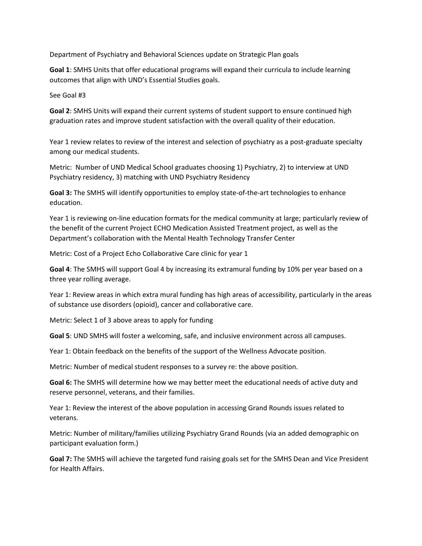Department of Psychiatry and Behavioral Sciences update on Strategic Plan goals

**Goal 1**: SMHS Units that offer educational programs will expand their curricula to include learning outcomes that align with UND's Essential Studies goals.

See Goal #3

**Goal 2**: SMHS Units will expand their current systems of student support to ensure continued high graduation rates and improve student satisfaction with the overall quality of their education.

Year 1 review relates to review of the interest and selection of psychiatry as a post-graduate specialty among our medical students.

Metric: Number of UND Medical School graduates choosing 1) Psychiatry, 2) to interview at UND Psychiatry residency, 3) matching with UND Psychiatry Residency

**Goal 3:** The SMHS will identify opportunities to employ state-of-the-art technologies to enhance education.

Year 1 is reviewing on-line education formats for the medical community at large; particularly review of the benefit of the current Project ECHO Medication Assisted Treatment project, as well as the Department's collaboration with the Mental Health Technology Transfer Center

Metric: Cost of a Project Echo Collaborative Care clinic for year 1

**Goal 4**: The SMHS will support Goal 4 by increasing its extramural funding by 10% per year based on a three year rolling average.

Year 1: Review areas in which extra mural funding has high areas of accessibility, particularly in the areas of substance use disorders (opioid), cancer and collaborative care.

Metric: Select 1 of 3 above areas to apply for funding

**Goal 5**: UND SMHS will foster a welcoming, safe, and inclusive environment across all campuses.

Year 1: Obtain feedback on the benefits of the support of the Wellness Advocate position.

Metric: Number of medical student responses to a survey re: the above position.

**Goal 6:** The SMHS will determine how we may better meet the educational needs of active duty and reserve personnel, veterans, and their families.

Year 1: Review the interest of the above population in accessing Grand Rounds issues related to veterans.

Metric: Number of military/families utilizing Psychiatry Grand Rounds (via an added demographic on participant evaluation form.)

**Goal 7:** The SMHS will achieve the targeted fund raising goals set for the SMHS Dean and Vice President for Health Affairs.